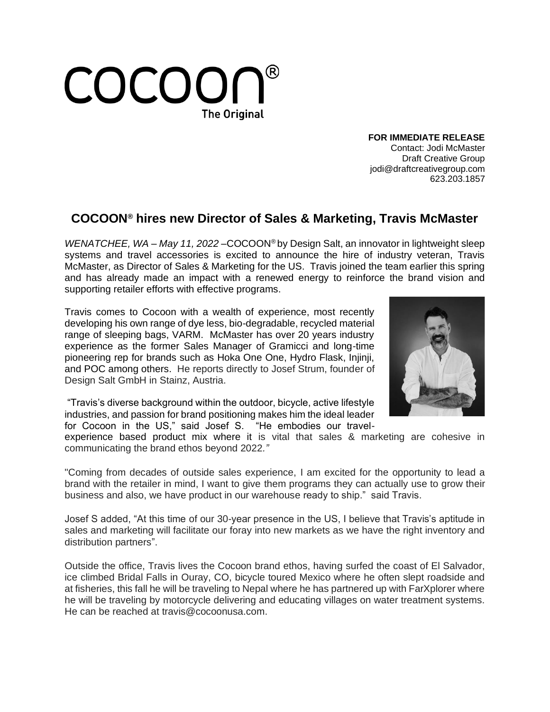

**FOR IMMEDIATE RELEASE** Contact: Jodi McMaster Draft Creative Group jodi@draftcreativegroup.com 623.203.1857

## **COCOON® hires new Director of Sales & Marketing, Travis McMaster**

*WENATCHEE, WA – May 11, 2022 –*COCOON® by Design Salt, an innovator in lightweight sleep systems and travel accessories is excited to announce the hire of industry veteran, Travis McMaster, as Director of Sales & Marketing for the US. Travis joined the team earlier this spring and has already made an impact with a renewed energy to reinforce the brand vision and supporting retailer efforts with effective programs.

Travis comes to Cocoon with a wealth of experience, most recently developing his own range of dye less, bio-degradable, recycled material range of sleeping bags, VARM. McMaster has over 20 years industry experience as the former Sales Manager of Gramicci and long-time pioneering rep for brands such as Hoka One One, Hydro Flask, Injinji, and POC among others. He reports directly to Josef Strum, founder of Design Salt GmbH in Stainz, Austria.

"Travis's diverse background within the outdoor, bicycle, active lifestyle industries, and passion for brand positioning makes him the ideal leader for Cocoon in the US," said Josef S. "He embodies our travel-



experience based product mix where it is vital that sales & marketing are cohesive in communicating the brand ethos beyond 2022*."*

"Coming from decades of outside sales experience, I am excited for the opportunity to lead a brand with the retailer in mind, I want to give them programs they can actually use to grow their business and also, we have product in our warehouse ready to ship." said Travis.

Josef S added, "At this time of our 30-year presence in the US, I believe that Travis's aptitude in sales and marketing will facilitate our foray into new markets as we have the right inventory and distribution partners".

Outside the office, Travis lives the Cocoon brand ethos, having surfed the coast of El Salvador, ice climbed Bridal Falls in Ouray, CO, bicycle toured Mexico where he often slept roadside and at fisheries, this fall he will be traveling to Nepal where he has partnered up with FarXplorer where he will be traveling by motorcycle delivering and educating villages on water treatment systems. He can be reached at travis@cocoonusa.com.